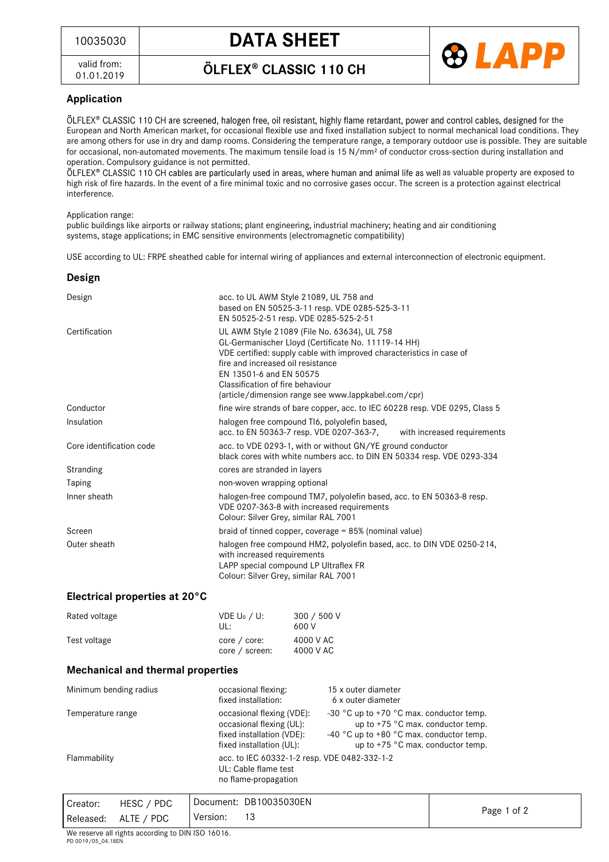## <sup>10035030</sup> **DATA SHEET**

valid from: 01.01.2019 ÖLFLEX<sup>®</sup> CLASSIC 110 CH



### **Application**

ÖLFLEX® CLASSIC 110 CH are screened, halogen free, oil resistant, highly flame retardant, power and control cables, designed for the European and North American market, for occasional flexible use and fixed installation subject to normal mechanical load conditions. They are among others for use in dry and damp rooms. Considering the temperature range, a temporary outdoor use is possible. They are suitable for occasional, non-automated movements. The maximum tensile load is 15 N/mm<sup>2</sup> of conductor cross-section during installation and operation. Compulsory guidance is not permitted.

ÖLFLEX® CLASSIC 110 CH cables are particularly used in areas, where human and animal life as well as valuable property are exposed to high risk of fire hazards. In the event of a fire minimal toxic and no corrosive gases occur. The screen is a protection against electrical interference.

Application range:

public buildings like airports or railway stations; plant engineering, industrial machinery; heating and air conditioning systems, stage applications; in EMC sensitive environments (electromagnetic compatibility)

USE according to UL: FRPE sheathed cable for internal wiring of appliances and external interconnection of electronic equipment.

#### **Design**

| acc. to UL AWM Style 21089, UL 758 and<br>based on EN 50525-3-11 resp. VDE 0285-525-3-11                  |  |  |
|-----------------------------------------------------------------------------------------------------------|--|--|
| EN 50525-2-51 resp. VDE 0285-525-2-51                                                                     |  |  |
|                                                                                                           |  |  |
| UL AWM Style 21089 (File No. 63634), UL 758                                                               |  |  |
| GL-Germanischer Lloyd (Certificate No. 11119-14 HH)                                                       |  |  |
| VDE certified: supply cable with improved characteristics in case of<br>fire and increased oil resistance |  |  |
| EN 13501-6 and EN 50575                                                                                   |  |  |
| Classification of fire behaviour                                                                          |  |  |
| (article/dimension range see www.lappkabel.com/cpr)                                                       |  |  |
| fine wire strands of bare copper, acc. to IEC 60228 resp. VDE 0295, Class 5                               |  |  |
| halogen free compound TI6, polyolefin based,                                                              |  |  |
| acc. to EN 50363-7 resp. VDE 0207-363-7, with increased requirements                                      |  |  |
| acc. to VDE 0293-1, with or without GN/YE ground conductor                                                |  |  |
| black cores with white numbers acc. to DIN EN 50334 resp. VDE 0293-334                                    |  |  |
| cores are stranded in layers                                                                              |  |  |
| non-woven wrapping optional                                                                               |  |  |
| halogen-free compound TM7, polyolefin based, acc. to EN 50363-8 resp.                                     |  |  |
| VDE 0207-363-8 with increased requirements                                                                |  |  |
| Colour: Silver Grey, similar RAL 7001                                                                     |  |  |
| braid of tinned copper, coverage $= 85\%$ (nominal value)                                                 |  |  |
| halogen free compound HM2, polyolefin based, acc. to DIN VDE 0250-214,                                    |  |  |
| with increased requirements                                                                               |  |  |
| LAPP special compound LP Ultraflex FR                                                                     |  |  |
| Colour: Silver Grey, similar RAL 7001                                                                     |  |  |
|                                                                                                           |  |  |

#### **Electrical properties at 20°C**

| Rated voltage | $VDE U_0 / U:$<br>ULE             | 300 / 500 V<br>600 V   |
|---------------|-----------------------------------|------------------------|
| Test voltage  | $core / core$ :<br>core / screen: | 4000 V AC<br>4000 V AC |

#### **Mechanical and thermal properties**

| Minimum bending radius | occasional flexing:<br>fixed installation:                                                                     | 15 x outer diameter<br>6 x outer diameter                                                                                                                                              |
|------------------------|----------------------------------------------------------------------------------------------------------------|----------------------------------------------------------------------------------------------------------------------------------------------------------------------------------------|
| Temperature range      | occasional flexing (VDE):<br>occasional flexing (UL):<br>fixed installation (VDE):<br>fixed installation (UL): | -30 $^{\circ}$ C up to +70 $^{\circ}$ C max. conductor temp.<br>up to $+75$ °C max. conductor temp.<br>-40 °C up to +80 °C max. conductor temp.<br>up to $+75$ °C max. conductor temp. |
| Flammability           | acc. to IEC 60332-1-2 resp. VDE 0482-332-1-2<br>UL: Cable flame test<br>no flame-propagation                   |                                                                                                                                                                                        |

| Creator:  | HESC / PDC | Document: DB10035030EN |             |
|-----------|------------|------------------------|-------------|
| Released: | ALTE / PDC | 13<br>Version:         | Page 1 of 2 |